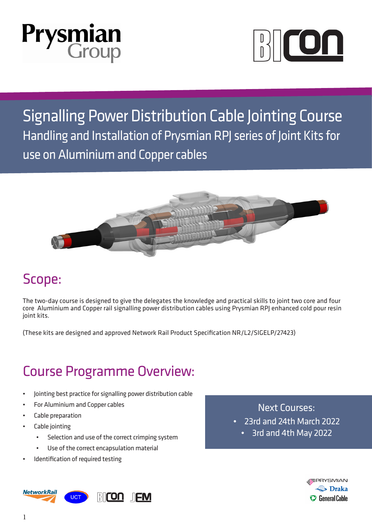



Signalling Power Distribution Cable Jointing Course Handling and Installation of Prysmian RPJ series of Joint Kits for use on Aluminium and Copper cables



#### Scope:

The two-day course is designed to give the delegates the knowledge and practical skills to joint two core and four core Aluminium and Copper rail signalling power distribution cables using Prysmian RPJ enhanced cold pour resin joint kits.

(These kits are designed and approved Network Rail Product Specification NR/L2/SIGELP/27423)

### Course Programme Overview:

- Jointing best practice for signalling power distribution cable
- For Aluminium and Copper cables
- Cable preparation
- Cable jointing
	- Selection and use of the correct crimping system
	- Use of the correct encapsulation material
- Identification of required testing

Next Courses:

- 23rd and 24th March 2022
	- 3rd and 4th May 2022